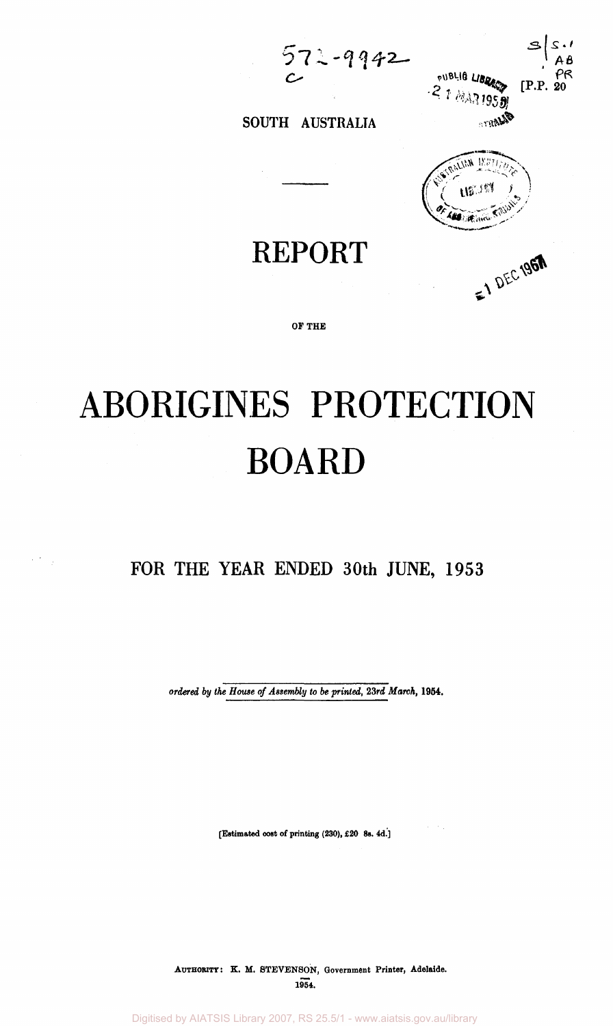$572 - 9942$ 



**0 ^** 

**#** 



**REPORT** 

SOUTH AUSTRALIA

**OF THE** 

# ABORIGINES PROTECTION BOARD

**FOR THE YEAR ENDED 30th JUNE, 1953** 

 $\mathcal{L}^{(1)}$  ,  $\mathcal{L}^{(2)}$ 

*ordered by the House of Assembly to be printed, 23rd March,* **1954.** 

**[Estimated cost of printing (230), £20 8s. 4d.]** 

 $\alpha = 100$ 

**AUTHORITY: K. M. STEVENSON, Government Printer, Adelaide. 1954.** 

Digitised by AIATSIS Library 2007, RS 25.5/1 - www.aiatsis.gov.au/library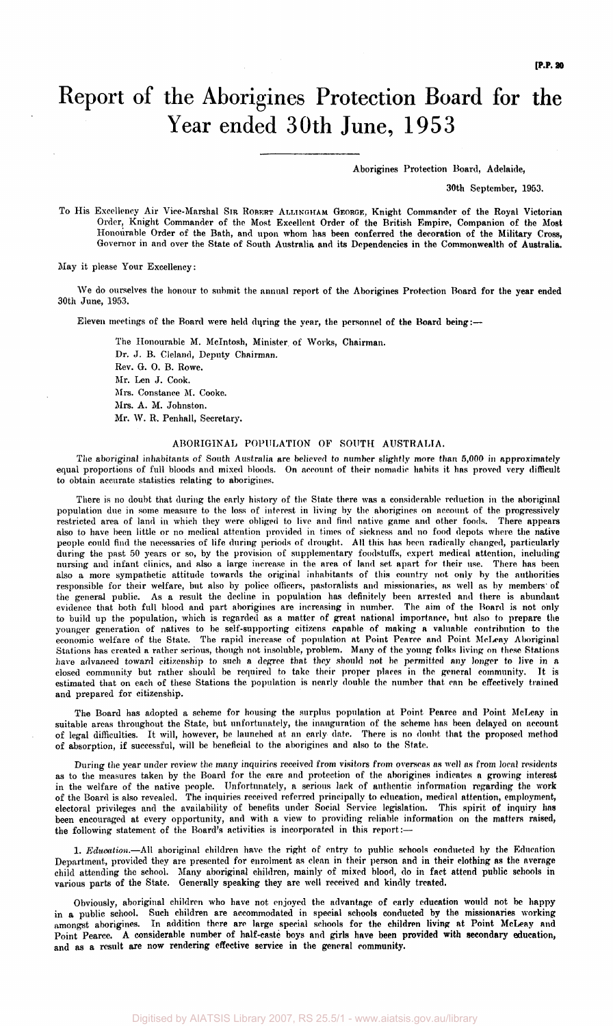## Report of the Aborigines Protection Board for the Year ended 30th June, 1953

Aborigines Protection Board, Adelaide,

30th September, 1953.

To His Excellency Air Vice-Marshal SIR ROBERT ALLINGHAM GEORGE, Knight Commander of the Royal Victorian Order, Knight Commander of the Most Excellent Order of the British Empire, Companion of the Most Honourable Order of the Bath, and upon whom has been conferred the decoration of the Military Cross, Governor in and over the State of South Australia and its Dependencies in the Commonwealth of Australia.

May it please Your Excellency:

We do ourselves the honour to submit the annual report of the Aborigines Protection Board for the year ended 30th June, 1953.

Eleven meetings of the Board were held during the year, the personnel of the Board being:—

The Honourable M. McIntosh, Minister of Works, Chairman. Dr. J. B. Cleland, Deputy Chairman. Rev. G. 0. B. Rowe. Mr. Len J. Cook. Mrs. Constance M. Cooke. Mrs. A. M. Johnston. Mr. W. R. Penhall, Secretary.

#### ABORIGINAL POPULATION OF SOUTH AUSTRALIA.

The aboriginal inhabitants of South Australia are believed to number slightly more than 5,000 in approximately equal proportions of full bloods and mixed bloods. On account of their nomadic habits it has proved very difficult to obtain accurate statistics relating to aborigines.

There is no doubt that during the early history of the State there was a considerable reduction in the aboriginal population due in some measure to the loss of interest in living by the aborigines on account of the progressively<br>restricted area of land in which they were obliged to live and find native game and other foods. There appe restricted area of land in which they were obliged to live and find native game and other foods. also to have been little or no medical attention provided in times of sickness and no food depots where the native people could find the necessaries of life during periods of drought. All this has been radically changed, particularly during the past 50 years or so, by the provision of supplementary foodstuffs, expert medical attention, including nursing and infant clinics, and also a large increase in the area of land set apart for their use. There has been also a more sympathetic attitude towards the original inhabitants of this country not only by the authorities responsible for their welfare, but also by police officers, pastoralists and missionaries, as well as by members' of the general public. As a result the decline in population has definitely been arrested and there is abundant evidence that both full blood and part aborigines are increasing in number. The aim of the Board is not only to build up the population, which is regarded as a matter of great national importance, but also to prepare the younger generation of natives to be self-supporting citizens capable of making a valuable contribution to the economic welfare of the State. The rapid increase of population at Point Pearce and Point MeLeay Aboriginal Stations has created a rather serious, though not insoluble, problem. Many of the young folks living on these Stations have advanced toward citizenship to such a degree that they should not be permitted any longer to live in a closed community but rather should be required to take their proper places in the general community. It is estimated that on each of these Stations the population is nearly double the number that can be effectively trained and prepared for citizenship.

The Board has adopted a scheme for housing the surplus population at Point Pearce and Point MeLeay in suitable areas throughout the State, but unfortunately, the inauguration of the scheme has been delayed on account of legal difficulties. It will, however, be launched at an early date. There is no doubt that the proposed method of absorption, if successful, will be beneficial to the aborigines and also to the State.

During the year under review the many inquiries received from visitors from overseas as well as from local residents as to the measures taken by the Board for the care and protection of the aborigines indicates a growing interest in the welfare of the native people. Unfortunately, a serious lack of authentic information regarding the work of the Board is also revealed. The inquiries received referred principally to education, medical attention, employment, electoral privileges and the availability of benefits under Social Service legislation. This spirit of inquiry has been encouraged at every opportunity, and with a view to providing reliable information on the matters raised, the following statement of the Board's activities is incorporated in this report:—

1. *Education.*—All aboriginal children have the right of entry to public schools conducted by the Education Department, provided they are presented for enrolment as clean in their person and in their clothing as the average child attending the school. Many aboriginal children, mainly of mixed blood, do in fact attend public schools in various parts of the State. Generally speaking they are well received and kindly treated.

Obviously, aboriginal children who have not enjoyed the advantage of early education would not be happy in a public school. Such children are accommodated in special schools conducted by the missionaries working<br>amongst aborigines. In addition there are large special schools for the children living at Point McLeay and In addition there are large special schools for the children living at Point McLeay and Point Pearce. A considerable number of half-caste boys and girls have been provided with secondary education, and as a result are now rendering effective service in the general community.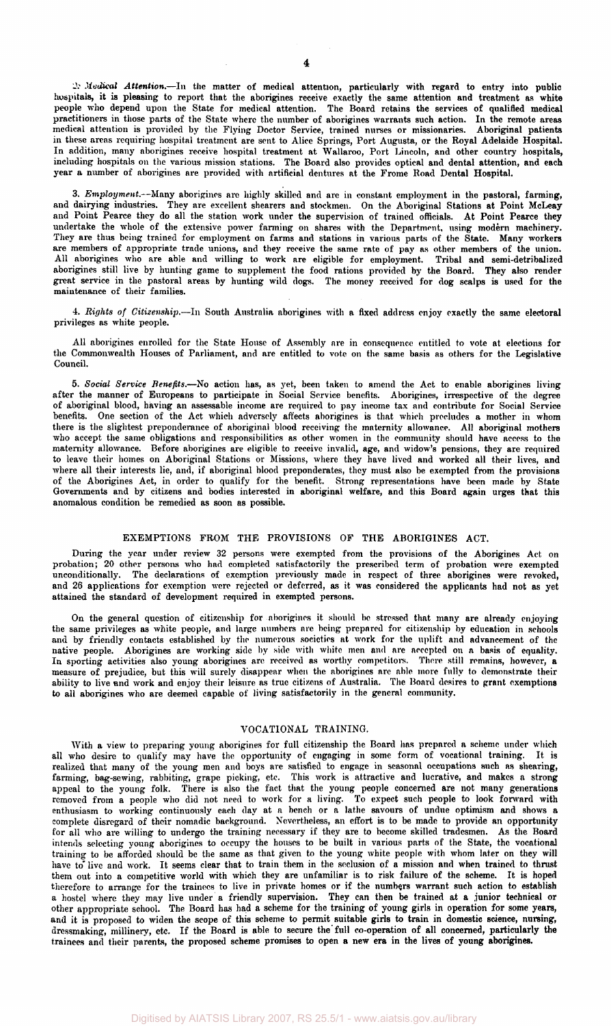*Medical Attention.*—In the matter of medical attention, particularly with regard to entry into public hospitals, it is pleasing to report that the aborigines receive exactly the same attention and treatment as white people who depend upon the State for medical attention. The Board retains the services of qualified medical practitioners in those parts of the State where the number of aborigines warrants such action. In the remote areas medical attention is provided by the Flying Doctor Service, trained nurses or missionaries. Aboriginal patients in these areas requiring hospital treatment are sent to Alice Springs, Port Augusta, or the Royal Adelaide Hospital. In addition, many aborigines receive hospital treatment at Wallaroo, Port Lincoln, and other country hospitals, including hospitals on the various mission stations. The Board also provides optical and dental attention, and each year a number of aborigines are provided with artificial dentures at the Frome Road Dental Hospital.

3. *Employment.*—Many aborigines arc highly skilled and are in constant employment in the pastoral, farming, and dairying industries. They are excellent shearers and stockmen. On the Aboriginal Stations at Point McLeay and Point Pearce they do all the station work under the supervision of trained officials. At Point Pearce they undertake the whole of the extensive power farming on shares with the Department, using modern machinery. They are thus being trained for employment on farms and stations in various parts of the State. Many workers axe members of appropriate trade unions, and they receive the same rate of pay as other members of the union. All aborigines who are able and willing to work are eligible for employment. Tribal and semi-detribalized aborigines still live by hunting game to supplement the food rations provided by the Board. They also render great service in the pastoral areas by hunting wild dogs. The money received for dog scalps is used for the maintenance of their families.

4. *Rights of Citizenship.*—In South Australia aborigines with a fixed address enjoy exactly the same electoral privileges as white people.

All aborigines enrolled for the State House of Assembly are in consequence entitled to vote at elections for the Commonwealth Houses of Parliament, and are entitled to vote on the same basis as others for the Legislative Council.

5. *Social Service Benefits.*—No action has, as yet, been taken to amend the Act to enable aborigines living after the manner of Europeans to participate in Social Service benefits. Aborigines, irrespective of the degree of aboriginal blood, having an assessable income are required to pay income tax and contribute for Social Service benefits. One section of the Act which adversely affects aborigines is that which precludes a mother in whom there is the slightest preponderance of aboriginal blood receiving the maternity allowance. All aboriginal mothers who accept the same obligations and responsibilities as other women in the community should have access to the maternity allowance. Before aborigines are eligible to receive invalid, age, and widow's pensions, they are required to leave their homes on Aboriginal Stations or Missions, where they have lived and worked all their lives, and where all their interests lie, and, if aboriginal blood preponderates, they must also be exempted from the provisions of the Aborigines Act, in order to qualify for the benefit. Strong representations have been made by State Governments and by citizens and bodies interested in aboriginal welfare, and this Board again urges that this anomalous condition be remedied as soon as possible.

#### EXEMPTIONS FROM THE PROVISIONS OF THE ABORIGINES ACT.

During the year under review 32 persons were exempted from the provisions of the Aborigines Act on probation; 20 other persons who had completed satisfactorily the prescribed term of probation were exempted unconditionally. The declarations of exemption previously made in respect of three aborigines were revoked, and 26 applications for exemption were rejected or deferred, as it was considered the applicants had not as yet attained the standard of development required in exempted persons.

On the general question of citizenship for aborigines it should be stressed that many are already enjoying the same privileges as white people, and large numbers are being prepared for citizenship by education in schools and by friendly contacts established by the numerous societies at work for the uplift and advancement of the native people. Aborigines are working side by side with white men and are accepted on a basis of equality. In sporting activities also young aborigines are received as worthy competitors. There still remains, however, a measure of prejudice, but this will surely disappear when the aborigines are able more fully to demonstrate their ability to live and work and enjoy their leisure as true citizens of Australia. The Board desires to grant exemptions to all aborigines who are deemed capable of living satisfactorily in the general community.

#### VOCATIONAL TRAINING.

With a view to preparing young aborigines for full citizenship the Board has prepared a scheme under which all who desire to qualify may have the opportunity of engaging in some form of vocational training. It is realized that many of the young men and boys are satisfied to engage in seasonal occupations such as shearing, farming, bag-sewing, rabbiting, grape picking, etc. This work is attractive and lucrative, and makes a strong appeal to the young folk. There is also the fact that the young people concerned are not many generations removed from a people who did not need to work for a living. To expect such people to look forward with enthusiasm to working continuously each day at a bench or a lathe savours of undue optimism and shows a complete disregard of their nomadic background. Nevertheless, an effort is to be made to provide an opportunity for all who are willing to undergo the training necessary if they are to become skilled tradesmen. As the Board intends selecting young aborigines to occupy the houses to be built in various parts of the State, the vocational training to be afforded should be the same as that given to the young white people with whom later on they will have to live and work. It seems clear that to train them in the seclusion of a mission and when trained to thrust them out into a competitive world with which they are unfamiliar is to risk failure of the scheme. It is hoped therefore to arrange for the trainees to live in private homes or if the numbers warrant such action to establish a hostel where they may live under a friendly supervision. They can then be trained at a junior technical or other appropriate school. The Board has had a scheme for the training of young girls in operation for some years, and it is proposed to widen the scope of this scheme to permit suitable girls to train in domestic science, nursing, dressmaking, millinery, etc. If the Board is able to secure the full co-operation of all concerned, particularly the trainees and their parents, the proposed scheme promises to open a new era in the lives of young aborigines.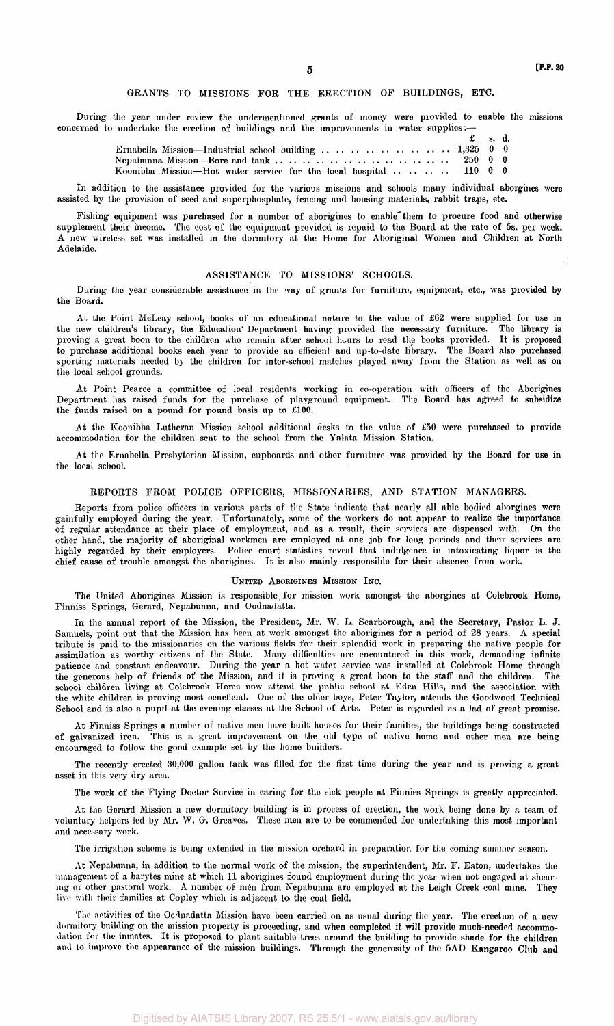#### GRANTS TO MISSIONS FOR THE ERECTION OF BUILDINGS, ETC.

During the year under review the undermentioned grants of money were provided to enable the missions concerned to undertake the erection of buildings and the improvements in water supplies:

|                                                                   | $\mathbf{f}$ s.d. |  |
|-------------------------------------------------------------------|-------------------|--|
|                                                                   |                   |  |
|                                                                   |                   |  |
| Koonibba Mission—Hot water service for the local hospital 110 0 0 |                   |  |

In addition to the assistance provided for the various missions and schools many individual aborgines were assisted by the provision of seed and superphosphate, fencing and housing materials, rabbit traps, etc.

Fishing equipment was purchased for a number of aborigines to enable them to procure food and otherwise supplement their income. The cost of the equipment provided is repaid to the Board at the rate of 5s. per week. A new wireless set was installed in the dormitory at the Home for Aboriginal Women and Children at North Adelaide.

#### ASSISTANCE TO MISSIONS' SCHOOLS.

During the year considerable assistance in the way of grants for furniture, equipment, etc., was provided by the Board.

At the Point McLeay school, books of an educational nature to the value of £62 were supplied for use in the new children's library, the Education' Department having provided the necessary furniture. The library is proving a great boon to the children who remain after school hours to read the books provided. It is proposed to purchase additional books each year to provide an efficient and up-to-date library. The Board also purchased sporting materials needed by the children for inter-school matches played away from the Station as well as on the local school grounds.

At Point Pearce a committee of local residents working in co-operation with officers of the Aborigines Department has raised funds for the purchase of playground equipment. The Board has agreed to subsidize the funds raised on a pound for pound basis up to £100.

At the Koonibba Lutheran Mission school additional desks to the value of £50 were purchased to provide accommodation for the children sent to the school from the Yalata Mission Station.

At the Ernabella Presbyterian Mission, cupboards and other furniture was provided by the Board for use in the local school.

#### REPORTS FROM POLICE OFFICERS, MISSIONARIES, AND STATION MANAGERS.

Reports from police officers in various parts of the State indicate that nearly all able bodied aborgines were gainfully employed during the year. • Unfortunately, some of the workers do not appear to realize the importance of regular attendance at their place of employment, and as a result, their services are dispensed with. On the other hand, the majority of aboriginal workmen are employed at one job for long periods and their services are highly regarded by their employers. Police court statistics reveal that indulgence in intoxicating liquor is the chief cause of trouble amongst the aborigines. It is also mainly responsible for their absence from work.

#### UNITED ABORIGINES MISSION INC.

The United Aborigines Mission is responsible for mission work amongst the aborgines at Colebrook Home, Finniss Springs, Gerard, Nepabunna, and Oodnadatta.

In the annual report of the Mission, the President, Mr. W. L. Scarborough, and the Secretary, Pastor L. J. Samuels, point out that the Mission has been at work amongst the aborigines for a period of 28 years. A special tribute is paid to the missionaries on the various fields for their splendid work in preparing the native people for assimilation as worthy citizens of the State. Many difficulties are encountered in this work, demanding infinite patience and constant endeavour. During the year a hot water service was installed at Colebrook Home through the generous help of friends of the Mission, and it is proving a great boon to the staff and the children. The school children living at Colebrook Home now attend the public school at Eden Hills, and the association with the white children is proving most beneficial. One of the older boys, Peter Taylor, attends the Goodwood Technical School and is also a pupil at the evening classes at the School of Arts. Peter is regarded as a lad of great promise.

At Finniss Springs a number of native men have built houses for their families, the buildings being constructed of galvanized iron. This is a great improvement on the old type of native home and other men are being encouraged to follow the good example set by the home builders.

The recently erected 30,000 gallon tank was filled for the first time during the year and is proving a great asset in this very dry area.

The work of the Flying Doctor Service in caring for the sick people at Finniss Springs is greatly appreciated.

At the Gerard Mission a new dormitory building is in process of erection, the work being done by a team of voluntary helpers led by Mr. W. G. Greaves. These men are to be commended for undertaking this most important and necessary work.

The irrigation scheme is being extended in the mission orchard in preparation for the coming summer season.

At Nepabunna, in addition to the normal work of the mission, the superintendent, Mr. F. Eaton, undertakes the management of a barytes mine at which 11 aborigines found employment during the year when not engaged at shearing or other pastoral work. A number of men from Nepabunna are employed at the Leigh Creek coal mine. They live with their families at Copley which is adjacent to the coal field.

The activities of the Ocdnedatta Mission have been carried on as usual during the year. The erection of a new dormitory building on the mission property is proceeding, and when completed it will provide much-needed accommodation for the inmates. It is proposed to plant suitable trees around the building to provide shade for the children and to improve the appearance of the mission buildings. Through the generosity of the 5AD Kangaroo Club and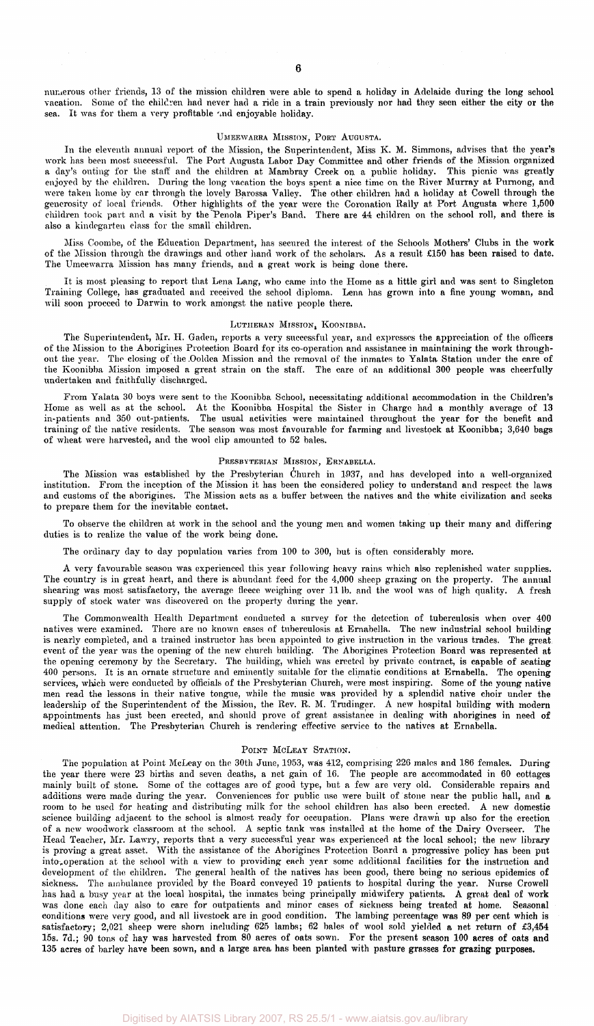numerous other friends, 13 of the mission children were able to spend a holiday in Adelaide during the long school vacation. Some of the children had never had a ride in a train previously nor had they seen either the city or the sea. It was for them a very profitable and enjoyable holiday.

#### UMEEWARRA MISSION, PORT AUGUSTA.

In the eleventh annual report of the Mission, the Superintendent, Miss K. M. Simmons, advises that the year's work has been most successful. The Port Augusta Labor Day Committee and other friends of the Mission organized a day's outing for the staff and the children at Mambray Creek on a public holiday. This picnic was greatly enjoyed by the children. During the long vacation the boys spent a nice time on the River Murray at Purnong, and were taken home by car through the lovely Barossa Valley. The other children had a holiday at Cowell through the generosity of local friends. Other highlights of the year were the Coronation Rally at Port Augusta where 1,500 children took part and a visit by the Penola Piper's Band. There are 44 children on the school roll, and there is also a kindegarten class for the small children.

Miss Coombe, of the Education Department, has secured the interest of the Schools Mothers' Clubs in the work of the Mission through the drawings and other hand work of the scholars. As a result £150 has been raised to date. The Umeewarra Mission has many friends, and a great work is being done there.

It is most pleasing to report that Lena Lang, who came into the Home as a little girl and was sent to Singleton Training College, has graduated and received the school diploma. Lena has grown into a fine young woman, and will soon proceed to Darwin to work amongst the native people there.

#### LUTHERAN MISSION, KOONIBBA.

The Superintendent, Mr. H. Gaden, reports a very successful year, and expresses the appreciation of the officers of the Mission to the Aborigines Protection Board for its co-operation and assistance in maintaining the work throughout the year. The closing of the .Ooldea Mission and the removal of the inmates to Yalata Station under the care of the Koonibba Mission imposed a great strain on the staff. The care of an additional 300 people was cheerfully undertaken and faithfully discharged.

From Yalata 30 boys were sent to the Koonibba School, necessitating additional accommodation in the Children's Home as well as at the school. At the Koonibba Hospital the Sister in Charge had a monthly average of 13 in-patients and 350 out-patients. The usual activities were maintained throughout the year for the benefit and training of the native residents. The season was most favourable for farming and livestock at Koonibba; 3,640 bags of wheat were harvested, and the wool clip amounted to 52 bales.

#### PRESBYTERIAN MISSION, ERNABELLA.

The Mission was established by the Presbyterian Church in 1937, and has developed into a well-organized institution. From the inception of the Mission it has been the considered policy to understand and respect the laws and customs of the aborigines. The Mission acts as a buffer between the natives and the white civilization and seeks to prepare them for the inevitable contact.

To observe the children at work in the school and the young men and women taking up their many and differing duties is to realize the value of the work being done.

The ordinary day to day population varies from 100 to 300, but is often considerably more.

A very favourable season was experienced this year following heavy rains which also replenished water supplies. The country is in great heart, and there is abundant feed for the 4,000 sheep grazing on the property. The annual shearing was most satisfactory, the average fleece weighing over 111b. and the wool was of high quality. A fresh supply of stock water was discovered on the property during the year.

The Commonwealth Health Department conducted a survey for the detection of tuberculosis when over 400 natives were examined. There are no known cases of tuberculosis at Ernabella. The new industrial school building is nearly completed, and a trained instructor has been appointed to give instruction in the various trades. The great event of the year was the opening of the new church building. The Aborigines Protection Board was represented at the opening ceremony by the Secretary. The building, which was erected by private contract, is capable of seating 400 persons. It is an ornate structure and eminently suitable for the climatic conditions at Ernabella. The opening services, which were conducted by officials of the Presbyterian Church, were most inspiring. Some of the young native men read the lessons in their native tongue, while the music was provided by a splendid native choir under the leadership of the Superintendent of the Mission, the Rev. R. M. Trudinger. A new hospital building with modern appointments has just been erected, and should prove of great assistance in dealing with aborigines in need of medical attention. The Presbyterian Church is rendering effective service to the natives at Ernabella.

#### POINT MCLEAY STATION.

The population at Point McLeay on the 30th June, 1953, was 412, comprising 226 males and 186 females. During the year there were 23 births and seven deaths, a net gain of 16. The people are accommodated in 60 cottages mainly built of stone. Some of the cottages are of good type, but a few are very old. Considerable repairs and additions were made during the year. Conveniences for public use were built of stone near the public hall, and a room to be used for heating and distributing milk for the school children has also been erected. A new domestic science building adjacent to the school is almost ready for occupation. Plans were drawn up also for the erection of a new woodwork classroom at the school. A septic tank was installed at the home of the Dairy Overseer. The Head Teacher, Mr. Lawry, reports that a very successful year was experienced at the local school; the new library is proving a great asset. With the assistance of the Aborigines Protection Board a progressive policy has been put into,operation at the school with a view to providing each year some additional facilities for the instruction and development of the children. The general health of the natives has been good, there being no serious epidemics of sickness. The ambulance provided by the Board conveyed 19 patients to hospital during the year. Nurse Crowell has had a busy year at the local hospital, the inmates being principally midwifery patients. A great deal of work was done each day also to care for outpatients and minor cases of sickness being treated at home. Seasonal conditions were very good, and all livestock are in good condition. The lambing percentage was 89 per cent which is satisfactory; 2,021 sheep were shorn including 625 lambs; 62 bales of wool sold yielded a net return of £3,454 15s. 7d.; 90 tons of hay was harvested from 80 acres of oats sown. For the present season 100 acres of oats and 135 acres of barley have been sown, and a large area has been planted with pasture grasses for grazing purposes.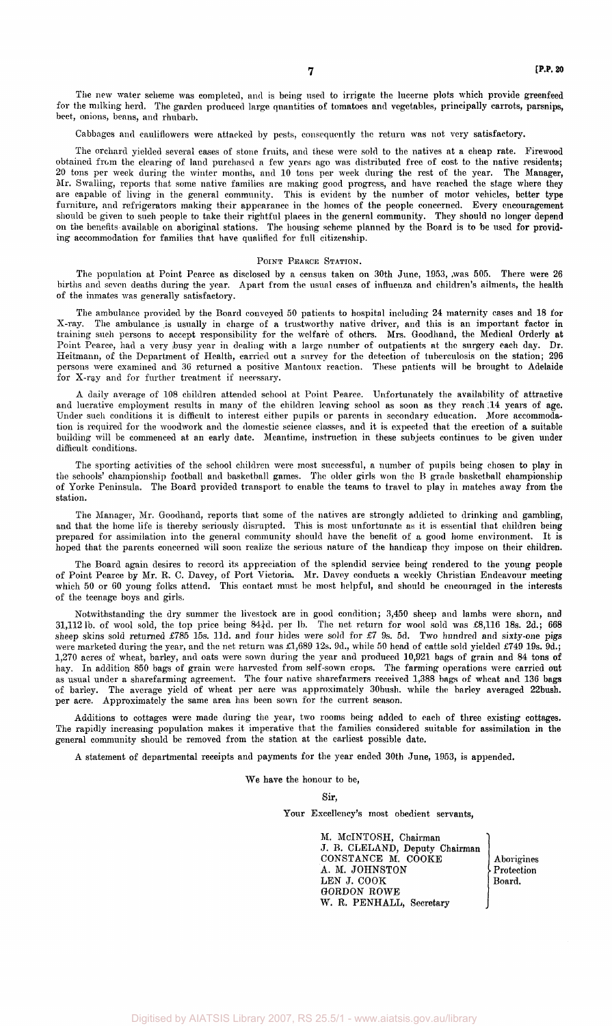The new water scheme was completed, and is being used to irrigate the lucerne plots which provide greenfeed for the milking herd. The garden produced large quantities of tomatoes and vegetables, principally carrots, parsnips, beet, onions, beans, and rhubarb.

Cabbages and cauliflowers were attacked by pests, consequently the return was not very satisfactory.

The orchard yielded several cases of stone fruits, and these were sold to the natives at a cheap rate. Firewood obtained from the clearing of land purchased a few years ago was distributed free of cost to the native residents; 20 tons per week during the winter months, and 10 tons per week during the rest of the year. The Manager, Mr. Swalling, reports that some native families are making good progress, and have reached the stage where they are capable of living in the general community. This is evident by the number of motor vehicles, better type furniture, and refrigerators making their appearance in the homes of the people concerned. Every encouragement should be given to such people to take their rightful places in the general community. They should no longer depend on the benefits available on aboriginal stations. The housing scheme planned by the Board is to be used for providing accommodation for families that have qualified for full citizenship.

#### POINT PEARCE STATION.

The population at Point Pearce as disclosed by a census taken on 30th June, 1953, was 505. There were 26 births and seven deaths during the year. Apart from the usual cases of influenza and children's ailments, the health of the inmates was generally satisfactory.

The ambulance provided by the Board conveyed 50 patients to hospital including 24 maternity cases and 18 for X-ray. The ambulance is usually in charge of a trustworthy native driver, and this is an important factor in training such persons to accept responsibility for the welfare of others. Mrs. Goodhand, the Medical Orderly at Point Pearce, had a very busy year in dealing with a large number of outpatients at the surgery each day. Dr. Heitmann, of the Department of Health, carried out a survey for the detection of tuberculosis on the station; 296 persons were examined and 36 returned a positive Mantoux reaction. These patients will be brought to Adelaide for X-ray and for further treatment if necessary.

A daily average of 108 children attended school at Point Pearce. Unfortunately the availability of attractive and lucrative employment results in many of the children leaving school as soon as they reach 14 years of age. Under such conditions it is difficult to interest either pupils or parents in secondary education. More accommodation is required for the woodwork and the domestic science classes, and it is expected that the erection of a suitable building will be commenced at an early date. Meantime, instruction in these subjects continues to be given under difficult conditions.

The sporting activities of the school children were most successful, a number of pupils being chosen to play in the schools' championship football and basketball games. The older girls won the B grade basketball championship of Yorke Peninsula. The Board provided transport to enable the teams to travel to play in matches away from the station.

The Manager, Mr. Goodhand, reports that some of the natives are strongly addicted to drinking and gambling, and that the home life is thereby seriously disrupted. This is most unfortunate as it is essential that children being prepared for assimilation into the general community should have the benefit of a good home environment. It is hoped that the parents concerned will soon realize the serious nature of the handicap they impose on their children.

The Board again desires to record its appreciation of the splendid service being rendered to the young people of Point Pearce by Mr. R. C. Davey, of Port Victoria. Mr. Davey conducts a weekly Christian Endeavour meeting which 50 or 60 young folks attend. This contact must be most helpful, and should be encouraged in the interests of the teenage boys and girls.

Notwithstanding the dry summer the livestock are in good condition; 3,450 sheep and lambs were shorn, and 31,112 lb. of wool sold, the top price being 84 1d. per lb. The net return for wool sold was £8,116 18s. 2d.; 668 sheep skins sold returned £785 15s. 11d. and four hides were sold for  $E7$  9s. 5d. Two hundred and sixty-one pigs were marketed during the year, and the net return was £1,689 12s. 9d., while 50 head of cattle sold yielded £749 19s. 9d.; 1,270 acres of wheat, barley, and oats were sown during the year and produced 10,921 bags of grain and 84 tons of hay. In addition 850 bags of grain were harvested from self-sown crops. The farming operations were carried out as usual under a sharefarming agreement. The four native sharefarmers received 1,388 bags of wheat and 136 bags of barley. The average yield of wheat per acre was approximately 30bush. while the barley averaged 22bush. per acre. Approximately the same area has been sown for the current season.

Additions to cottages were made during the year, two rooms being added to each of three existing cottages. The rapidly increasing population makes it imperative that the families considered suitable for assimilation in the general community should be removed from the station at the earliest possible date.

A statement of departmental receipts and payments for the year ended 30th June, 1953, is appended.

We have the honour to be,

Sir,

Your Excellency's most obedient servants,

M. McINTOSH, Chairman J. B. CLELAND, Deputy Chairman CONSTANCE M. CÔOKE Aborigines A. M. JOHNSTON Protection LEN J. COOK | Board. GORDON ROWE W. R. PENHALL, Secretary